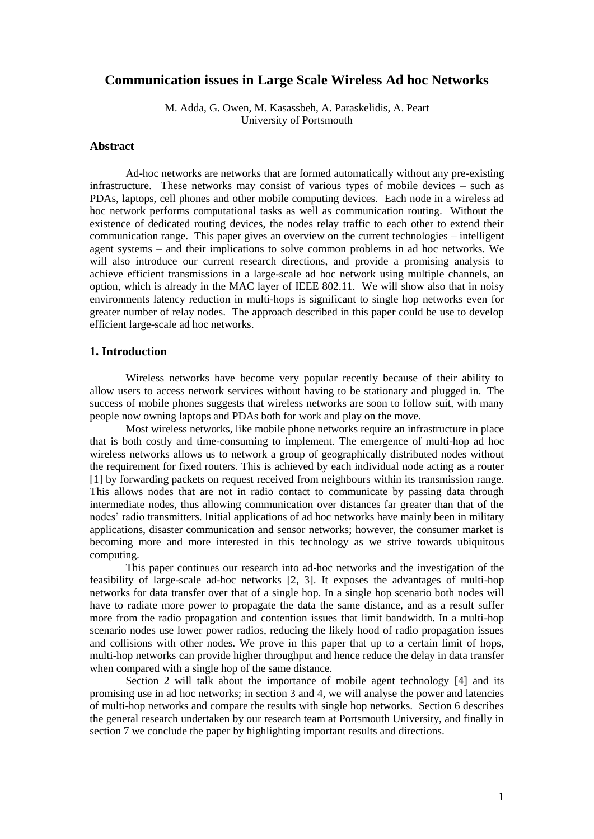# **Communication issues in Large Scale Wireless Ad hoc Networks**

M. Adda, G. Owen, M. Kasassbeh, A. Paraskelidis, A. Peart University of Portsmouth

### **Abstract**

Ad-hoc networks are networks that are formed automatically without any pre-existing infrastructure. These networks may consist of various types of mobile devices – such as PDAs, laptops, cell phones and other mobile computing devices. Each node in a wireless ad hoc network performs computational tasks as well as communication routing. Without the existence of dedicated routing devices, the nodes relay traffic to each other to extend their communication range. This paper gives an overview on the current technologies – intelligent agent systems – and their implications to solve common problems in ad hoc networks. We will also introduce our current research directions, and provide a promising analysis to achieve efficient transmissions in a large-scale ad hoc network using multiple channels, an option, which is already in the MAC layer of IEEE 802.11. We will show also that in noisy environments latency reduction in multi-hops is significant to single hop networks even for greater number of relay nodes. The approach described in this paper could be use to develop efficient large-scale ad hoc networks.

# **1. Introduction**

Wireless networks have become very popular recently because of their ability to allow users to access network services without having to be stationary and plugged in. The success of mobile phones suggests that wireless networks are soon to follow suit, with many people now owning laptops and PDAs both for work and play on the move.

Most wireless networks, like mobile phone networks require an infrastructure in place that is both costly and time-consuming to implement. The emergence of multi-hop ad hoc wireless networks allows us to network a group of geographically distributed nodes without the requirement for fixed routers. This is achieved by each individual node acting as a router [1] by forwarding packets on request received from neighbours within its transmission range. This allows nodes that are not in radio contact to communicate by passing data through intermediate nodes, thus allowing communication over distances far greater than that of the nodes' radio transmitters. Initial applications of ad hoc networks have mainly been in military applications, disaster communication and sensor networks; however, the consumer market is becoming more and more interested in this technology as we strive towards ubiquitous computing.

This paper continues our research into ad-hoc networks and the investigation of the feasibility of large-scale ad-hoc networks [2, 3]. It exposes the advantages of multi-hop networks for data transfer over that of a single hop. In a single hop scenario both nodes will have to radiate more power to propagate the data the same distance, and as a result suffer more from the radio propagation and contention issues that limit bandwidth. In a multi-hop scenario nodes use lower power radios, reducing the likely hood of radio propagation issues and collisions with other nodes. We prove in this paper that up to a certain limit of hops, multi-hop networks can provide higher throughput and hence reduce the delay in data transfer when compared with a single hop of the same distance.

Section 2 will talk about the importance of mobile agent technology [4] and its promising use in ad hoc networks; in section 3 and 4, we will analyse the power and latencies of multi-hop networks and compare the results with single hop networks. Section 6 describes the general research undertaken by our research team at Portsmouth University, and finally in section 7 we conclude the paper by highlighting important results and directions.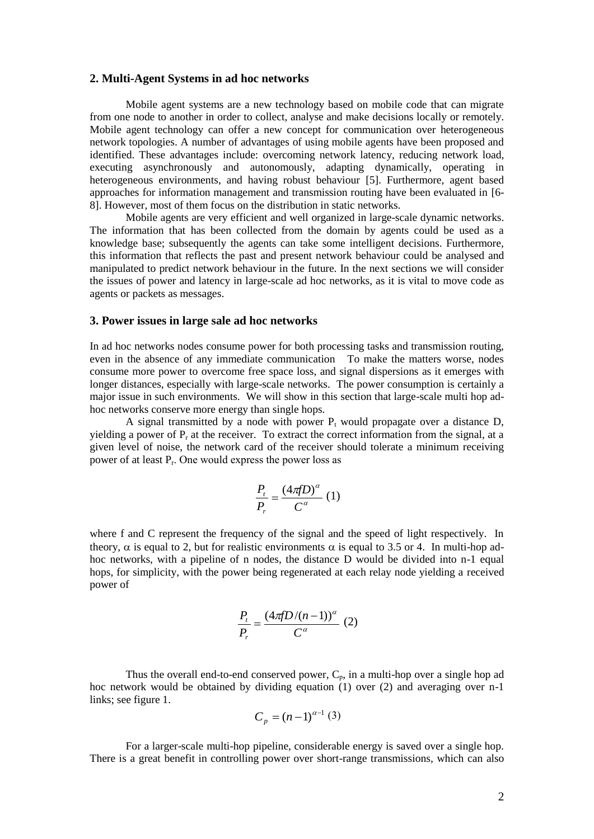#### **2. Multi-Agent Systems in ad hoc networks**

Mobile agent systems are a new technology based on mobile code that can migrate from one node to another in order to collect, analyse and make decisions locally or remotely. Mobile agent technology can offer a new concept for communication over heterogeneous network topologies. A number of advantages of using mobile agents have been proposed and identified. These advantages include: overcoming network latency, reducing network load, executing asynchronously and autonomously, adapting dynamically, operating in heterogeneous environments, and having robust behaviour [5]. Furthermore, agent based approaches for information management and transmission routing have been evaluated in [6- 8]. However, most of them focus on the distribution in static networks.

Mobile agents are very efficient and well organized in large-scale dynamic networks. The information that has been collected from the domain by agents could be used as a knowledge base; subsequently the agents can take some intelligent decisions. Furthermore, this information that reflects the past and present network behaviour could be analysed and manipulated to predict network behaviour in the future. In the next sections we will consider the issues of power and latency in large-scale ad hoc networks, as it is vital to move code as agents or packets as messages.

#### **3. Power issues in large sale ad hoc networks**

In ad hoc networks nodes consume power for both processing tasks and transmission routing, even in the absence of any immediate communication To make the matters worse, nodes consume more power to overcome free space loss, and signal dispersions as it emerges with longer distances, especially with large-scale networks. The power consumption is certainly a major issue in such environments. We will show in this section that large-scale multi hop adhoc networks conserve more energy than single hops.

A signal transmitted by a node with power  $P_t$  would propagate over a distance D, vielding a power of  $P<sub>r</sub>$  at the receiver. To extract the correct information from the signal, at a given level of noise, the network card of the receiver should tolerate a minimum receiving power of at least P<sub>r</sub>. One would express the power loss as

$$
\frac{P_t}{P_r} = \frac{(4\pi fD)^{\alpha}}{C^{\alpha}} (1)
$$

where f and C represent the frequency of the signal and the speed of light respectively. In theory,  $\alpha$  is equal to 2, but for realistic environments  $\alpha$  is equal to 3.5 or 4. In multi-hop adhoc networks, with a pipeline of n nodes, the distance D would be divided into n-1 equal hops, for simplicity, with the power being regenerated at each relay node yielding a received power of

$$
\frac{P_t}{P_r} = \frac{(4\pi f D/(n-1))^{\alpha}}{C^{\alpha}} (2)
$$

Thus the overall end-to-end conserved power,  $C_p$ , in a multi-hop over a single hop ad hoc network would be obtained by dividing equation (1) over (2) and averaging over n-1 links; see figure 1.

$$
C_p = (n-1)^{\alpha-1} (3)
$$

For a larger-scale multi-hop pipeline, considerable energy is saved over a single hop. There is a great benefit in controlling power over short-range transmissions, which can also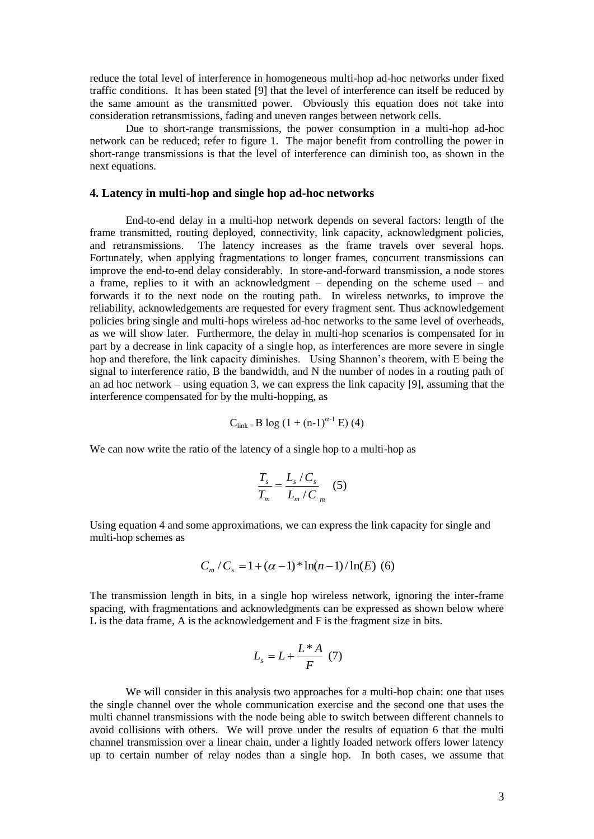reduce the total level of interference in homogeneous multi-hop ad-hoc networks under fixed traffic conditions. It has been stated [9] that the level of interference can itself be reduced by the same amount as the transmitted power. Obviously this equation does not take into consideration retransmissions, fading and uneven ranges between network cells.

Due to short-range transmissions, the power consumption in a multi-hop ad-hoc network can be reduced; refer to figure 1. The major benefit from controlling the power in short-range transmissions is that the level of interference can diminish too, as shown in the next equations.

### **4. Latency in multi-hop and single hop ad-hoc networks**

End-to-end delay in a multi-hop network depends on several factors: length of the frame transmitted, routing deployed, connectivity, link capacity, acknowledgment policies, and retransmissions. The latency increases as the frame travels over several hops. Fortunately, when applying fragmentations to longer frames, concurrent transmissions can improve the end-to-end delay considerably. In store-and-forward transmission, a node stores a frame, replies to it with an acknowledgment – depending on the scheme used – and forwards it to the next node on the routing path. In wireless networks, to improve the reliability, acknowledgements are requested for every fragment sent. Thus acknowledgement policies bring single and multi-hops wireless ad-hoc networks to the same level of overheads, as we will show later. Furthermore, the delay in multi-hop scenarios is compensated for in part by a decrease in link capacity of a single hop, as interferences are more severe in single hop and therefore, the link capacity diminishes. Using Shannon's theorem, with E being the signal to interference ratio, B the bandwidth, and N the number of nodes in a routing path of an ad hoc network – using equation 3, we can express the link capacity [9], assuming that the interference compensated for by the multi-hopping, as

$$
C_{\text{link}} = B \log (1 + (n-1)^{\alpha-1} E) (4)
$$

We can now write the ratio of the latency of a single hop to a multi-hop as

$$
\frac{T_s}{T_m} = \frac{L_s/C_s}{L_m/C_m} \quad (5)
$$

Using equation 4 and some approximations, we can express the link capacity for single and multi-hop schemes as

$$
C_m / C_s = 1 + (\alpha - 1)^* \ln(n - 1) / \ln(E)
$$
 (6)

The transmission length in bits, in a single hop wireless network, ignoring the inter-frame spacing, with fragmentations and acknowledgments can be expressed as shown below where L is the data frame, A is the acknowledgement and F is the fragment size in bits.

$$
L_s = L + \frac{L^* A}{F} (7)
$$

We will consider in this analysis two approaches for a multi-hop chain: one that uses the single channel over the whole communication exercise and the second one that uses the multi channel transmissions with the node being able to switch between different channels to avoid collisions with others. We will prove under the results of equation 6 that the multi channel transmission over a linear chain, under a lightly loaded network offers lower latency up to certain number of relay nodes than a single hop. In both cases, we assume that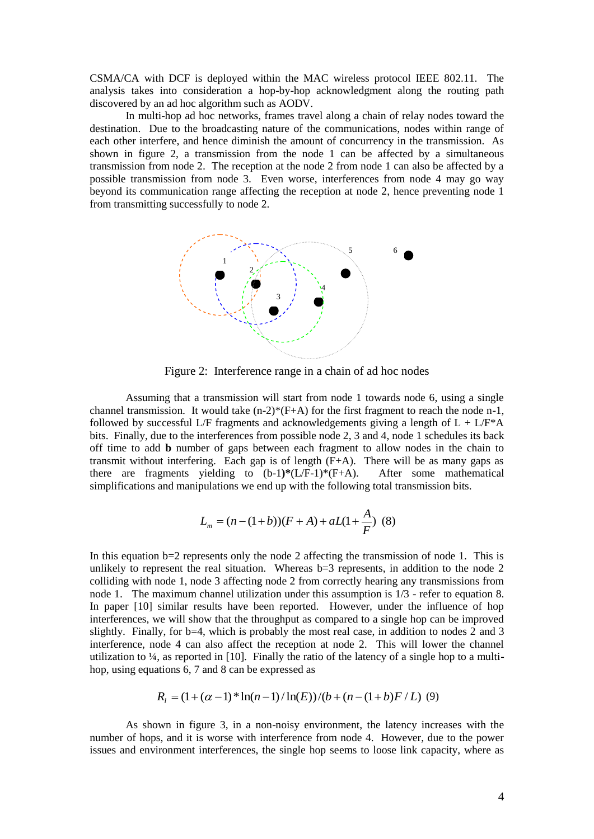CSMA/CA with DCF is deployed within the MAC wireless protocol IEEE 802.11. The analysis takes into consideration a hop-by-hop acknowledgment along the routing path discovered by an ad hoc algorithm such as AODV.

In multi-hop ad hoc networks, frames travel along a chain of relay nodes toward the destination. Due to the broadcasting nature of the communications, nodes within range of each other interfere, and hence diminish the amount of concurrency in the transmission. As shown in figure 2, a transmission from the node 1 can be affected by a simultaneous transmission from node 2. The reception at the node 2 from node 1 can also be affected by a possible transmission from node 3. Even worse, interferences from node 4 may go way beyond its communication range affecting the reception at node 2, hence preventing node 1 from transmitting successfully to node 2.



Figure 2: Interference range in a chain of ad hoc nodes

Assuming that a transmission will start from node 1 towards node 6, using a single channel transmission. It would take  $(n-2)^*(F+A)$  for the first fragment to reach the node n-1, followed by successful L/F fragments and acknowledgements giving a length of  $L + L/F^*A$ bits. Finally, due to the interferences from possible node 2, 3 and 4, node 1 schedules its back off time to add **b** number of gaps between each fragment to allow nodes in the chain to transmit without interfering. Each gap is of length  $(F+A)$ . There will be as many gaps as there are fragments yielding to (b-1**)\***(L/F-1)\*(F+A). After some mathematical simplifications and manipulations we end up with the following total transmission bits.

$$
L_m = (n - (1 + b))(F + A) + aL(1 + \frac{A}{F}) \tag{8}
$$

In this equation  $b=2$  represents only the node 2 affecting the transmission of node 1. This is unlikely to represent the real situation. Whereas b=3 represents, in addition to the node 2 colliding with node 1, node 3 affecting node 2 from correctly hearing any transmissions from node 1. The maximum channel utilization under this assumption is 1/3 - refer to equation 8. In paper [10] similar results have been reported. However, under the influence of hop interferences, we will show that the throughput as compared to a single hop can be improved slightly. Finally, for  $b=4$ , which is probably the most real case, in addition to nodes 2 and 3 interference, node 4 can also affect the reception at node 2. This will lower the channel utilization to ¼, as reported in [10]. Finally the ratio of the latency of a single hop to a multihop, using equations 6, 7 and 8 can be expressed as

$$
R_1 = (1 + (\alpha - 1)^* \ln(n - 1) / \ln(E)) / (b + (n - (1 + b)F / L) \tag{9}
$$

As shown in figure 3, in a non-noisy environment, the latency increases with the number of hops, and it is worse with interference from node 4. However, due to the power issues and environment interferences, the single hop seems to loose link capacity, where as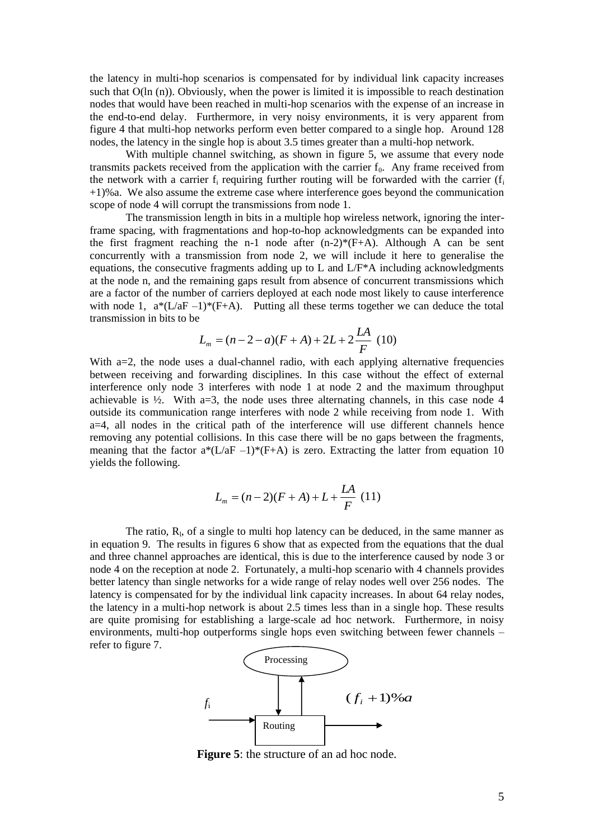the latency in multi-hop scenarios is compensated for by individual link capacity increases such that  $O(\ln(n))$ . Obviously, when the power is limited it is impossible to reach destination nodes that would have been reached in multi-hop scenarios with the expense of an increase in the end-to-end delay. Furthermore, in very noisy environments, it is very apparent from figure 4 that multi-hop networks perform even better compared to a single hop. Around 128 nodes, the latency in the single hop is about 3.5 times greater than a multi-hop network.

With multiple channel switching, as shown in figure 5, we assume that every node transmits packets received from the application with the carrier  $f_0$ . Any frame received from the network with a carrier  $f_i$  requiring further routing will be forwarded with the carrier  $(f_i)$ +1)%a. We also assume the extreme case where interference goes beyond the communication scope of node 4 will corrupt the transmissions from node 1.

The transmission length in bits in a multiple hop wireless network, ignoring the interframe spacing, with fragmentations and hop-to-hop acknowledgments can be expanded into the first fragment reaching the n-1 node after  $(n-2)^*(F+A)$ . Although A can be sent concurrently with a transmission from node 2, we will include it here to generalise the equations, the consecutive fragments adding up to L and  $L/F^*A$  including acknowledgments at the node n, and the remaining gaps result from absence of concurrent transmissions which are a factor of the number of carriers deployed at each node most likely to cause interference with node 1,  $a*(L/aF - 1)*(F+A)$ . Putting all these terms together we can deduce the total transmission in bits to be

$$
L_m = (n-2-a)(F+A) + 2L + 2\frac{LA}{F} (10)
$$

With a=2, the node uses a dual-channel radio, with each applying alternative frequencies between receiving and forwarding disciplines. In this case without the effect of external interference only node 3 interferes with node 1 at node 2 and the maximum throughput achievable is  $\frac{1}{2}$ . With a=3, the node uses three alternating channels, in this case node 4 outside its communication range interferes with node 2 while receiving from node 1. With a=4, all nodes in the critical path of the interference will use different channels hence removing any potential collisions. In this case there will be no gaps between the fragments, meaning that the factor  $a^*(L/aF - 1)^*(F+A)$  is zero. Extracting the latter from equation 10 yields the following.

$$
L_m = (n-2)(F+A) + L + \frac{LA}{F} (11)
$$

The ratio,  $R<sub>1</sub>$ , of a single to multi hop latency can be deduced, in the same manner as in equation 9. The results in figures 6 show that as expected from the equations that the dual and three channel approaches are identical, this is due to the interference caused by node 3 or node 4 on the reception at node 2. Fortunately, a multi-hop scenario with 4 channels provides better latency than single networks for a wide range of relay nodes well over 256 nodes. The latency is compensated for by the individual link capacity increases. In about 64 relay nodes, the latency in a multi-hop network is about 2.5 times less than in a single hop. These results are quite promising for establishing a large-scale ad hoc network. Furthermore, in noisy environments, multi-hop outperforms single hops even switching between fewer channels – refer to figure 7.



**Figure 5**: the structure of an ad hoc node.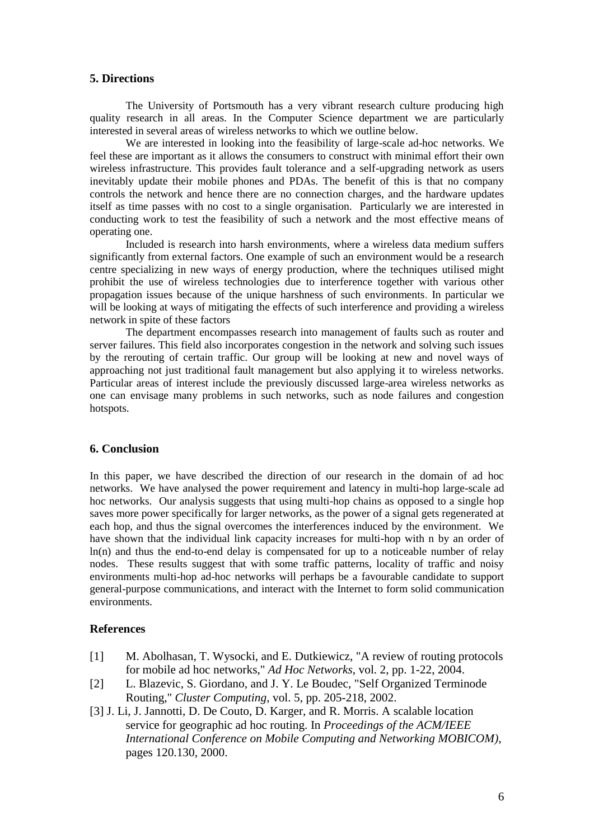## **5. Directions**

The University of Portsmouth has a very vibrant research culture producing high quality research in all areas. In the Computer Science department we are particularly interested in several areas of wireless networks to which we outline below.

We are interested in looking into the feasibility of large-scale ad-hoc networks. We feel these are important as it allows the consumers to construct with minimal effort their own wireless infrastructure. This provides fault tolerance and a self-upgrading network as users inevitably update their mobile phones and PDAs. The benefit of this is that no company controls the network and hence there are no connection charges, and the hardware updates itself as time passes with no cost to a single organisation. Particularly we are interested in conducting work to test the feasibility of such a network and the most effective means of operating one.

Included is research into harsh environments, where a wireless data medium suffers significantly from external factors. One example of such an environment would be a research centre specializing in new ways of energy production, where the techniques utilised might prohibit the use of wireless technologies due to interference together with various other propagation issues because of the unique harshness of such environments. In particular we will be looking at ways of mitigating the effects of such interference and providing a wireless network in spite of these factors

The department encompasses research into management of faults such as router and server failures. This field also incorporates congestion in the network and solving such issues by the rerouting of certain traffic. Our group will be looking at new and novel ways of approaching not just traditional fault management but also applying it to wireless networks. Particular areas of interest include the previously discussed large-area wireless networks as one can envisage many problems in such networks, such as node failures and congestion hotspots.

## **6. Conclusion**

In this paper, we have described the direction of our research in the domain of ad hoc networks. We have analysed the power requirement and latency in multi-hop large-scale ad hoc networks. Our analysis suggests that using multi-hop chains as opposed to a single hop saves more power specifically for larger networks, as the power of a signal gets regenerated at each hop, and thus the signal overcomes the interferences induced by the environment. We have shown that the individual link capacity increases for multi-hop with n by an order of  $ln(n)$  and thus the end-to-end delay is compensated for up to a noticeable number of relay nodes. These results suggest that with some traffic patterns, locality of traffic and noisy environments multi-hop ad-hoc networks will perhaps be a favourable candidate to support general-purpose communications, and interact with the Internet to form solid communication environments.

# **References**

- [1] M. Abolhasan, T. Wysocki, and E. Dutkiewicz, "A review of routing protocols for mobile ad hoc networks," *Ad Hoc Networks*, vol. 2, pp. 1-22, 2004.
- [2] L. Blazevic, S. Giordano, and J. Y. Le Boudec, "Self Organized Terminode Routing," *Cluster Computing*, vol. 5, pp. 205-218, 2002.
- [3] J. Li, J. Jannotti, D. De Couto, D. Karger, and R. Morris. A scalable location service for geographic ad hoc routing. In *Proceedings of the ACM/IEEE International Conference on Mobile Computing and Networking MOBICOM)*, pages 120.130, 2000.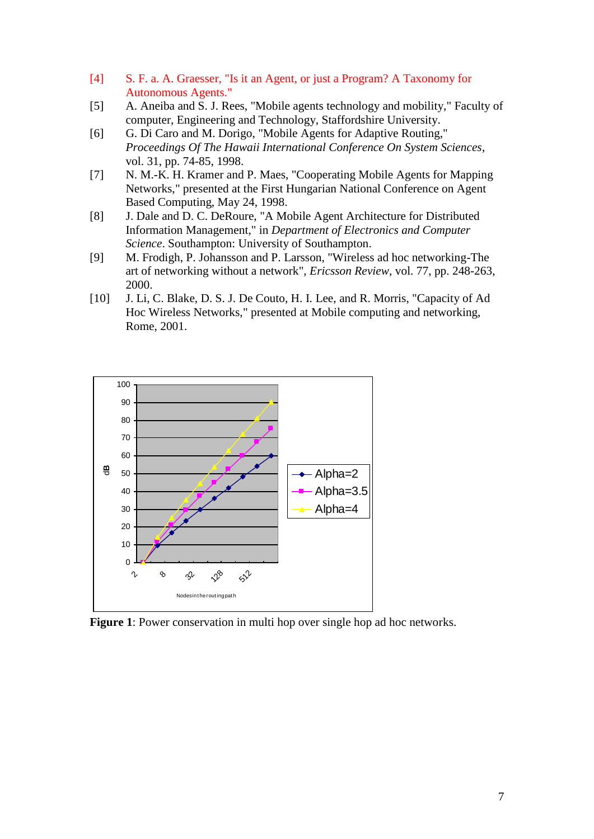- [4] S. F. a. A. Graesser, "Is it an Agent, or just a Program? A Taxonomy for Autonomous Agents."
- [5] A. Aneiba and S. J. Rees, "Mobile agents technology and mobility," Faculty of computer, Engineering and Technology, Staffordshire University.
- [6] G. Di Caro and M. Dorigo, "Mobile Agents for Adaptive Routing," *Proceedings Of The Hawaii International Conference On System Sciences*, vol. 31, pp. 74-85, 1998.
- [7] N. M.-K. H. Kramer and P. Maes, "Cooperating Mobile Agents for Mapping Networks," presented at the First Hungarian National Conference on Agent Based Computing, May 24, 1998.
- [8] J. Dale and D. C. DeRoure, "A Mobile Agent Architecture for Distributed Information Management," in *Department of Electronics and Computer Science*. Southampton: University of Southampton.
- [9] M. Frodigh, P. Johansson and P. Larsson, "Wireless ad hoc networking-The art of networking without a network", *Ericsson Review*, vol. 77, pp. 248-263, 2000.
- [10] J. Li, C. Blake, D. S. J. De Couto, H. I. Lee, and R. Morris, "Capacity of Ad Hoc Wireless Networks," presented at Mobile computing and networking, Rome, 2001.



**Figure 1**: Power conservation in multi hop over single hop ad hoc networks.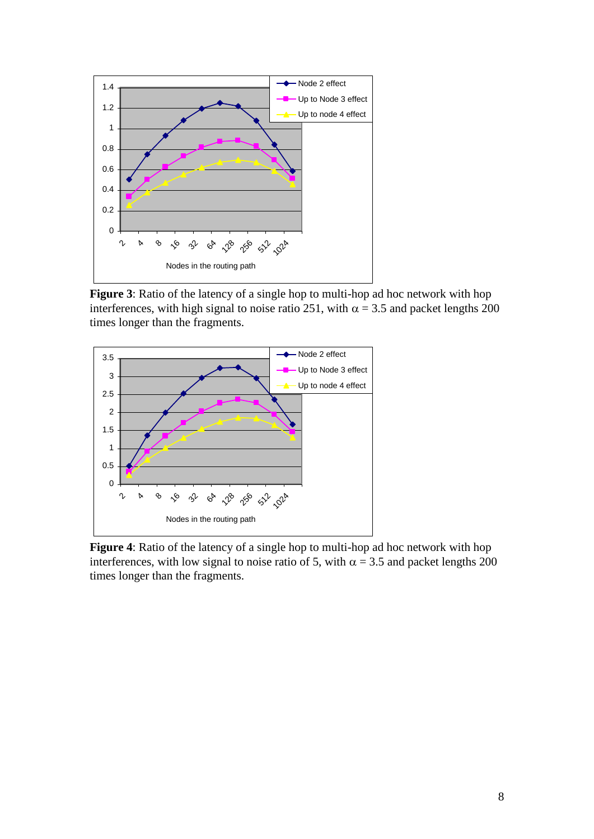

**Figure 3**: Ratio of the latency of a single hop to multi-hop ad hoc network with hop interferences, with high signal to noise ratio 251, with  $\alpha = 3.5$  and packet lengths 200 times longer than the fragments.



**Figure 4**: Ratio of the latency of a single hop to multi-hop ad hoc network with hop interferences, with low signal to noise ratio of 5, with  $\alpha = 3.5$  and packet lengths 200 times longer than the fragments.